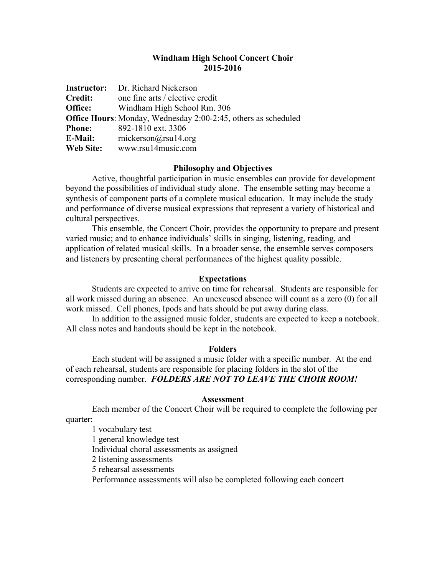## **Windham High School Concert Choir 2015-2016**

|                | <b>Instructor:</b> Dr. Richard Nickerson                              |
|----------------|-----------------------------------------------------------------------|
| <b>Credit:</b> | one fine arts / elective credit                                       |
| Office:        | Windham High School Rm. 306                                           |
|                | <b>Office Hours:</b> Monday, Wednesday 2:00-2:45, others as scheduled |
| <b>Phone:</b>  | 892-1810 ext. 3306                                                    |
| E-Mail:        | rnickerson@rsu14.org                                                  |
| Web Site:      | www.rsu14music.com                                                    |

### **Philosophy and Objectives**

Active, thoughtful participation in music ensembles can provide for development beyond the possibilities of individual study alone. The ensemble setting may become a synthesis of component parts of a complete musical education. It may include the study and performance of diverse musical expressions that represent a variety of historical and cultural perspectives.

This ensemble, the Concert Choir, provides the opportunity to prepare and present varied music; and to enhance individuals' skills in singing, listening, reading, and application of related musical skills. In a broader sense, the ensemble serves composers and listeners by presenting choral performances of the highest quality possible.

#### **Expectations**

Students are expected to arrive on time for rehearsal. Students are responsible for all work missed during an absence. An unexcused absence will count as a zero (0) for all work missed. Cell phones, Ipods and hats should be put away during class.

In addition to the assigned music folder, students are expected to keep a notebook. All class notes and handouts should be kept in the notebook.

#### **Folders**

Each student will be assigned a music folder with a specific number. At the end of each rehearsal, students are responsible for placing folders in the slot of the corresponding number. *FOLDERS ARE NOT TO LEAVE THE CHOIR ROOM!*

#### **Assessment**

Each member of the Concert Choir will be required to complete the following per quarter:

1 vocabulary test 1 general knowledge test Individual choral assessments as assigned 2 listening assessments 5 rehearsal assessments Performance assessments will also be completed following each concert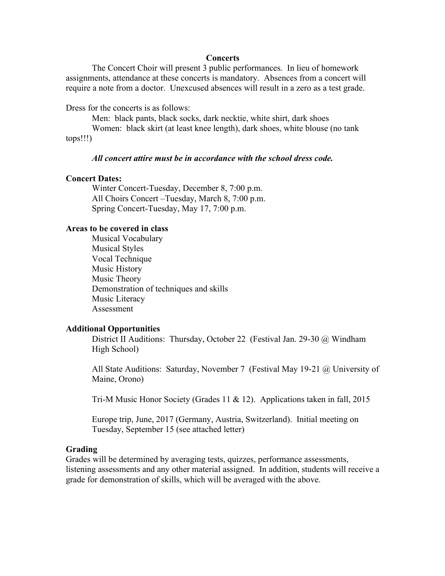#### **Concerts**

The Concert Choir will present 3 public performances. In lieu of homework assignments, attendance at these concerts is mandatory. Absences from a concert will require a note from a doctor. Unexcused absences will result in a zero as a test grade.

Dress for the concerts is as follows:

Men: black pants, black socks, dark necktie, white shirt, dark shoes

Women: black skirt (at least knee length), dark shoes, white blouse (no tank tops!!!)

## *All concert attire must be in accordance with the school dress code.*

### **Concert Dates:**

Winter Concert-Tuesday, December 8, 7:00 p.m. All Choirs Concert –Tuesday, March 8, 7:00 p.m. Spring Concert-Tuesday, May 17, 7:00 p.m.

### **Areas to be covered in class**

Musical Vocabulary Musical Styles Vocal Technique Music History Music Theory Demonstration of techniques and skills Music Literacy Assessment

### **Additional Opportunities**

District II Auditions: Thursday, October 22 (Festival Jan. 29-30 @ Windham High School)

All State Auditions: Saturday, November 7 (Festival May 19-21 @ University of Maine, Orono)

Tri-M Music Honor Society (Grades 11 & 12). Applications taken in fall, 2015

Europe trip, June, 2017 (Germany, Austria, Switzerland). Initial meeting on Tuesday, September 15 (see attached letter)

### **Grading**

Grades will be determined by averaging tests, quizzes, performance assessments, listening assessments and any other material assigned. In addition, students will receive a grade for demonstration of skills, which will be averaged with the above.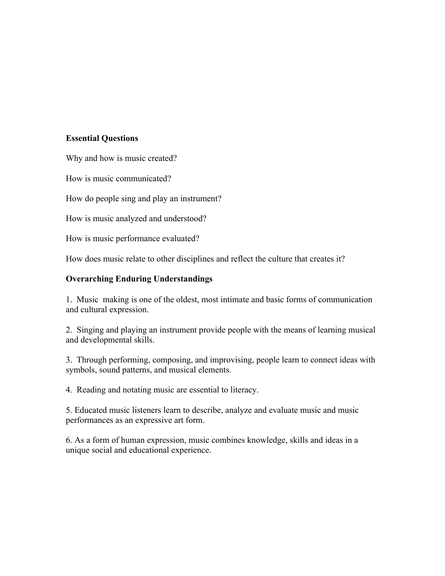# **Essential Questions**

Why and how is music created?

How is music communicated?

How do people sing and play an instrument?

How is music analyzed and understood?

How is music performance evaluated?

How does music relate to other disciplines and reflect the culture that creates it?

# **Overarching Enduring Understandings**

1. Music making is one of the oldest, most intimate and basic forms of communication and cultural expression.

2. Singing and playing an instrument provide people with the means of learning musical and developmental skills.

3. Through performing, composing, and improvising, people learn to connect ideas with symbols, sound patterns, and musical elements.

4. Reading and notating music are essential to literacy.

5. Educated music listeners learn to describe, analyze and evaluate music and music performances as an expressive art form.

6. As a form of human expression, music combines knowledge, skills and ideas in a unique social and educational experience.